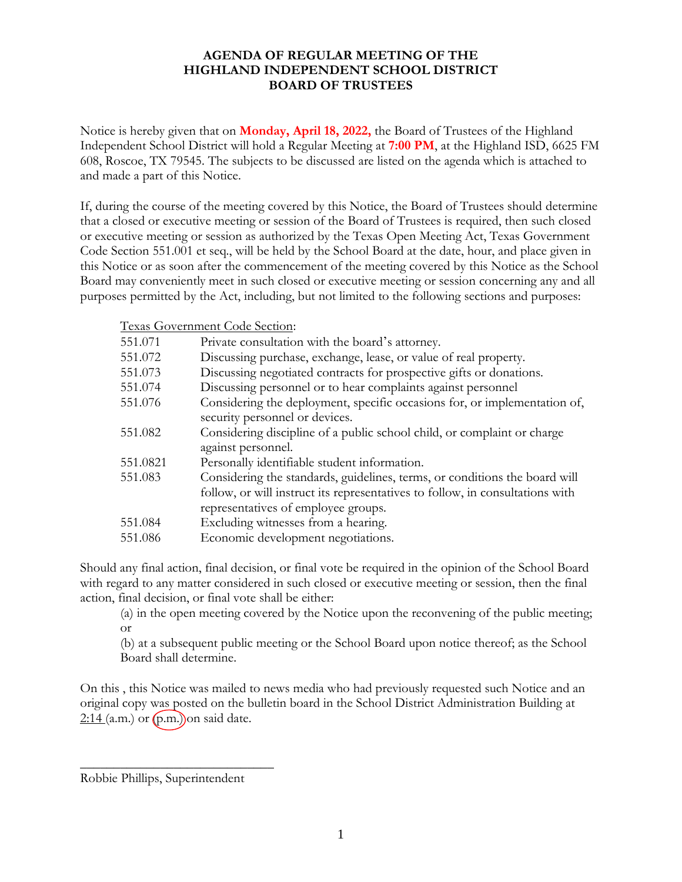## **AGENDA OF REGULAR MEETING OF THE HIGHLAND INDEPENDENT SCHOOL DISTRICT BOARD OF TRUSTEES**

Notice is hereby given that on **Monday, April 18, 2022,** the Board of Trustees of the Highland Independent School District will hold a Regular Meeting at **7:00 PM**, at the Highland ISD, 6625 FM 608, Roscoe, TX 79545. The subjects to be discussed are listed on the agenda which is attached to and made a part of this Notice.

If, during the course of the meeting covered by this Notice, the Board of Trustees should determine that a closed or executive meeting or session of the Board of Trustees is required, then such closed or executive meeting or session as authorized by the Texas Open Meeting Act, Texas Government Code Section 551.001 et seq., will be held by the School Board at the date, hour, and place given in this Notice or as soon after the commencement of the meeting covered by this Notice as the School Board may conveniently meet in such closed or executive meeting or session concerning any and all purposes permitted by the Act, including, but not limited to the following sections and purposes:

Texas Government Code Section:

| 551.071  | Private consultation with the board's attorney.                                                                                                                                                    |
|----------|----------------------------------------------------------------------------------------------------------------------------------------------------------------------------------------------------|
| 551.072  | Discussing purchase, exchange, lease, or value of real property.                                                                                                                                   |
| 551.073  | Discussing negotiated contracts for prospective gifts or donations.                                                                                                                                |
| 551.074  | Discussing personnel or to hear complaints against personnel                                                                                                                                       |
| 551.076  | Considering the deployment, specific occasions for, or implementation of,<br>security personnel or devices.                                                                                        |
| 551.082  | Considering discipline of a public school child, or complaint or charge<br>against personnel.                                                                                                      |
| 551.0821 | Personally identifiable student information.                                                                                                                                                       |
| 551.083  | Considering the standards, guidelines, terms, or conditions the board will<br>follow, or will instruct its representatives to follow, in consultations with<br>representatives of employee groups. |
| 551.084  | Excluding witnesses from a hearing.                                                                                                                                                                |
| 551.086  | Economic development negotiations.                                                                                                                                                                 |

Should any final action, final decision, or final vote be required in the opinion of the School Board with regard to any matter considered in such closed or executive meeting or session, then the final action, final decision, or final vote shall be either:

(a) in the open meeting covered by the Notice upon the reconvening of the public meeting; or

(b) at a subsequent public meeting or the School Board upon notice thereof; as the School Board shall determine.

On this , this Notice was mailed to news media who had previously requested such Notice and an original copy was posted on the bulletin board in the School District Administration Building at  $2:14$  (a.m.) or  $(p.m.)$  on said date.

Robbie Phillips, Superintendent

 $\overline{\phantom{a}}$  , where  $\overline{\phantom{a}}$  , where  $\overline{\phantom{a}}$  , where  $\overline{\phantom{a}}$